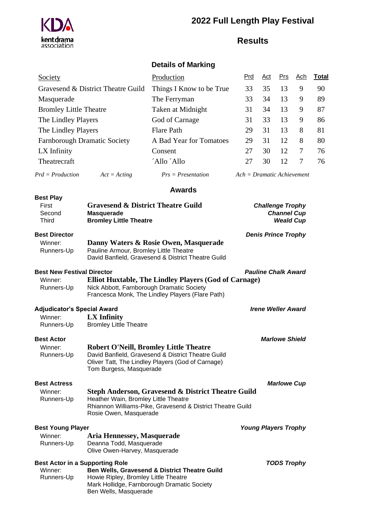# **2022 Full Length Play Festival**



# **Results**

## **Details of Marking**

| Society                              | Production               | <u>Prd</u>                   | <u>Act</u> | Prs | <u>Ach</u> | Total |
|--------------------------------------|--------------------------|------------------------------|------------|-----|------------|-------|
| Gravesend & District Theatre Guild   | Things I Know to be True | 33                           | 35         | 13  | 9          | 90    |
| Masquerade                           | The Ferryman             | 33                           | 34         | 13  | 9          | 89    |
| <b>Bromley Little Theatre</b>        | Taken at Midnight        | 31                           | 34         | 13  | 9          | 87    |
| The Lindley Players                  | God of Carnage           | 31                           | 33         | 13  | 9          | 86    |
| The Lindley Players                  | <b>Flare Path</b>        | 29                           | 31         | 13  | 8          | 81    |
| <b>Farnborough Dramatic Society</b>  | A Bad Year for Tomatoes  | 29                           | 31         | 12  | 8          | 80    |
| LX Infinity                          | Consent                  | 27                           | 30         | 12  | 7          | 76    |
| Theatrecraft                         | 'Allo 'Allo              | 27                           | 30         | 12  | 7          | 76    |
| $Prd = Production$<br>$Act = Actine$ | $Prs = Presentation$     | $Ach = Dramatic$ Achievement |            |     |            |       |

**Awards**

#### **Best Play**

| --------<br>First | <b>Gravesend &amp; District Theatre Guild</b> | <b>Challenge Trophy</b> |
|-------------------|-----------------------------------------------|-------------------------|
| Second            | Masquerade                                    | <b>Channel Cup</b>      |
| Third             | <b>Bromley Little Theatre</b>                 | <b>Weald Cup</b>        |

#### **Best Director** *Denis Prince Trophy*

| Winner:    | Danny Waters & Rosie Owen, Masquerade              |
|------------|----------------------------------------------------|
| Runners-Up | Pauline Armour, Bromley Little Theatre             |
|            | David Banfield, Gravesend & District Theatre Guild |

Francesca Monk, The Lindley Players (Flare Path)

**Best New Festival Director** *Pauline Chalk Award* Winner: **Elliot Huxtable, The Lindley Players (God of Carnage)** Runners-Up Nick Abbott, Farnborough Dramatic Society

### **Adjudicator's Special Award** *Irene Weller Award*

| Winner:    | <b>LX</b> Infinity            |
|------------|-------------------------------|
| Runners-Up | <b>Bromley Little Theatre</b> |

### **Best Actor** *Marlowe Shield*

Winner: **Robert O'Neill, Bromley Little Theatre** Runners-Up David Banfield, Gravesend & District Theatre Guild Oliver Tatt, The Lindley Players (God of Carnage) Tom Burgess, Masquerade

### **Best Actress** *Marlowe Cup*

| Winner:    | Steph Anderson, Gravesend & District Theatre Guild         |
|------------|------------------------------------------------------------|
| Runners-Up | Heather Wain, Bromley Little Theatre                       |
|            | Rhiannon Williams-Pike, Gravesend & District Theatre Guild |
|            | Rosie Owen, Masquerade                                     |

**Best Young Player** *Young Players Trophy*

### Winner: **Aria Hennessey, Masquerade** Runners-Up Deanna Todd, Masquerade Olive Owen-Harvey, Masquerade

|            | Best Actor in a Supporting Role                          | <b>TODS Trophy</b> |
|------------|----------------------------------------------------------|--------------------|
| Winner:    | <b>Ben Wells, Gravesend &amp; District Theatre Guild</b> |                    |
| Runners-Up | Howie Ripley, Bromley Little Theatre                     |                    |
|            | Mark Hollidge, Farnborough Dramatic Society              |                    |
|            | Ben Wells, Masquerade                                    |                    |